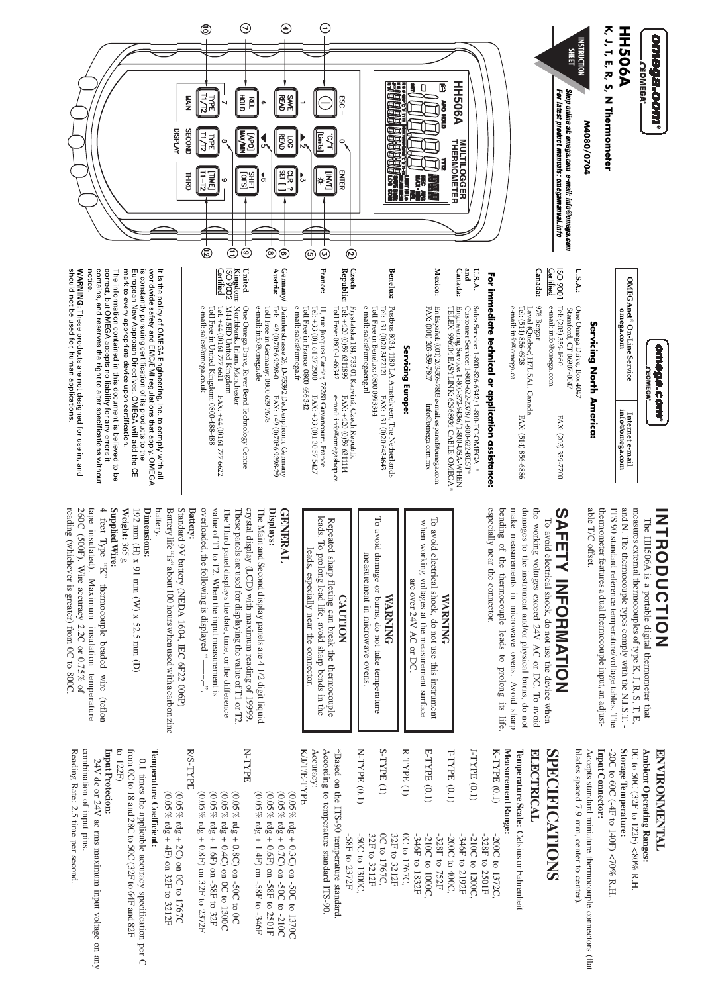

### omega.com .**OEOMEGA<sup>®</sup>**

OMEGAnet<sup>®</sup> On-Line Service omega.com  $\begin{array}{l} \text{Internet e-mail}\\ \text{int{6@omega.com} } \end{array}$ 

## Servicing North America:

- 1006 OSI *<u>Certified</u>*  $US.A.$ : e-mail: info@omega.com Tel: (203) 359-1660 One Omega Drive, Box 404. Stamford, CT 06907-0047 FAX: (203) 359-7700
- Canada: 976 Bergar Tel: (514) 856-6928 aval (Quebec) H7L5A1, Canada FAX: (514) 856-6886
- e-mail: into@omega.ca

# For immediate technical or application assistance:

Sales Service: 1-800-826-6342/1-800-TC-OMEGA ®

E

- Canada: Customer Service: 1-800-622-2378/1-800-622-BEST®<br>Engineering Service: 1-800-672-9436/1-800-USA-WHEN<br>TELEX: 996404 EASYLINK: 62968934 CABLE: OMEGA
- En Español: (001) 203-359-7803 e-mail: espanol@omega.com FAX: (001) 203-359-7807 info@omega.com.mx

Mexico:

### Servicing Europe:

- Benelux: Postbus 8034, 1180 LA Amstelveen, The Netherlands<br>Tel: +31 (0)20 3472121 FAX: +31 (0)20 6434643<br>Toll Free in Benelux: 0800 0993344 e-mail: sales@omegaeng.nl
- Czech<br>Republic: 7 Frystatska 184, 733 01 Karviná, Czech Republic<br>Tel: +420 (0)59 6311899 FAX: +420 (0)59 6311<br>Toll Free: 0800-1-66342 e-mail: info@omegas e-mail: info@omegashop.cz FAX: +420 (0)59 6311114
- 11, rue Jacques Cartier, 78280 Guyancourt, France Tei. +33 (0)1 61 37 2900 <br>
Tei. +33 (0)1 61 37 2900 <br>
Fox: +33 (0)1 30 57 5427<br>
Toll Free in France: 0800 466 342 e-mail: sales@omega.fr
- Germany/<br>Austria: Daimlerstrasse 26, D-75392 Deckenpfrom, Germany<br>Tel:+ 49 (0)7056 9398-0<br>EAX: +49 (0)7056 9398-0 e-mail: info@omega.de Tel: + 49 (0)7056 9398-0<br>Tel: + 49 (0)7056 9398-0<br>Toll Free in Germany: 0800 639 7678
- United<br>Kingdam: 1<br>ISO 9002<br><u>Certified</u> M44 5BD United Kingdom<br>Tel: +44 (0)161 777 6611<br>Tel: +44 (0)161 777 6611<br>Toll Free in United Kingdom: 0800-488-488 One Omega Drive, River Bend Technology Centre Northbank, Irlam, Manchester FAX: +44 (0)161777 6622

e-mail: sales@omega.co.uk

mark to every appropriate device upon certification. worldwide safety and EMC/EMI regulations that apply. OMEGA It is the policy of OMEGA Engineering, Inc. to comply with all contains, and reserves the right to alter specifications without correct, but OMEGA accepts no liability for any errors it European New Approach Directives. OMEGA will add the CE is constantly pursuing certification of its products to the The information contained in this document is believed to be

WARNING: These products are not designed for use in, and should not be used for, human applications notice.

## **INHRODUCTION**

and N. The thermocouple types comply with the N.I.S.T. measures external thermocouples of type K, J, R, S, T, E, ITS 90 standard reference temperature/voltage tables. The able T/C offset. thermometer features a dual thermocouple input, an adjust-The HH506A is a portable digital thermometer that

# **SAFETY INFORMATION**

especially near the connector. bending of the thermocouple leads to prolong its life make measurements in microwave ovens. Avoid sharp damages to the instrument and/or physical burns, do not the working voltages exceed 24V AC or DC. To avoid To avoid electrical shock, do not use the device when

#### To avoid electrical shock, do not use this instrument when working voltages at the measurement surface are over 24V AC or DC **WARNING**

To avoid damage or burns, do not take temperature measurement in microwave ovens **WARNING** 

**CAUTION** 

leads. To prolong lead life, avoid sharp bends in the Repeated sharp flexing can break the thermocouple leads, especially near the connector

#### **GENERAL** Displays:

overloaded, the following is displayed "-----" value of T1 to T2. When the input measurement is crystal display (LCD) with maximum reading of 19999. The Third panel displays the date, time, or the difference These panels are used for displaying the value of T1 or T2 The Main and Second display panels are 4 1/2 digit liquic

### **Battery:**

battery. Standard 9V battery (NEDA 1604, IEC 6F22 006P) Battery life "is" about 100 hours when used with a carbon zinc

### **Dimensions:**

192 mm (H) x 91 mm (W) x 52.5 mm (D)

#### **Supplied Wire:** Weight: 365 g

4 feet Type "K" thermocouple beaded wire (teflon reading (whichever is greater) from 0C to 800C 260C (500F). Wire accuracy 2.2C or 0.75% of tape insulated). Maximum insulation temperature

### **ENVIRONMENTAL**

-20C to 60C (-4F to 140F) <70% R.H Storage lemperature: OC to 50C (32F to 122F) <80% R.H. Ambient Operating Ranges:

Input Connector:

blades spaced 7.9 mm, center to center). Accepts standard miniature thermocouple connectors (fla

## **SPECIFICATIONS**

### **ELECTRICAL**

Temperature Scale: Celsius or Fahrenheit Measurement Range:

| K-TYPE $(0.1)$  | -200C to 1372C,                   |
|-----------------|-----------------------------------|
| J-TYPE (0.1)    | -210C to 1200C,<br>-328F to 2501F |
| T-TYPE (0.1)    | -200C to 400C,<br>-346F to 2192F  |
|                 | -328F to 752F                     |
| E-TYPE (0.1)    | -210C to 1000C,                   |
|                 | -346F to 1832F                    |
| $R$ -TYPE $(1)$ | 0C to 1767C,                      |
|                 | 32F to 3212F                      |
| $S$ -TYPE $(1)$ | 0C to 1767C,                      |
|                 | 32F to 3212F                      |
| N-TYPE (0.1)    | -50C to 1300C,                    |

Accuracy: According to temperature standard ITS-90. \*Based on the ITS-90 temperature standard -S8F to 2372F

### KJJTE-TYPE

 $(0.05\%$ rdg + 1.4F) on -58F to -346F (0.05% rdg + 0.6F) on -58F to 2501F  $(0.05%$  rdg + 0.7C) on -50C to -210C 0.05% rdg + 0.3C) on -50C to 1370C

N-TYPE  $(0.05\% \text{ rdg} + 0.8\text{F})$  on 32F to 2372F  $(0.05\%$ rdg + 1.6F) on -58F to 32F  $(0.05\% \text{ rdg} + 0.4\text{C}) \text{ on } 0\text{C}$  to 1300C 0.05% rdg + 0.8C) on -50C to 0C

R/S-TYPE (0.05% rdg + 4F) on 32F to 3212F  $(0.05\% \text{ rdg} + 2\text{C})$  on 0C to 1767C

## lemperature Coefficient:

to 122F) from 0C to 18 and 28C to 50C (32F to 64F and 82F 0.1 times the applicable accuracy specification per C

### Input Protecion:

combination of input pins. 24V dc or 24V ac rms maximum input voltage on any

Reading Rate: 2.5 time per second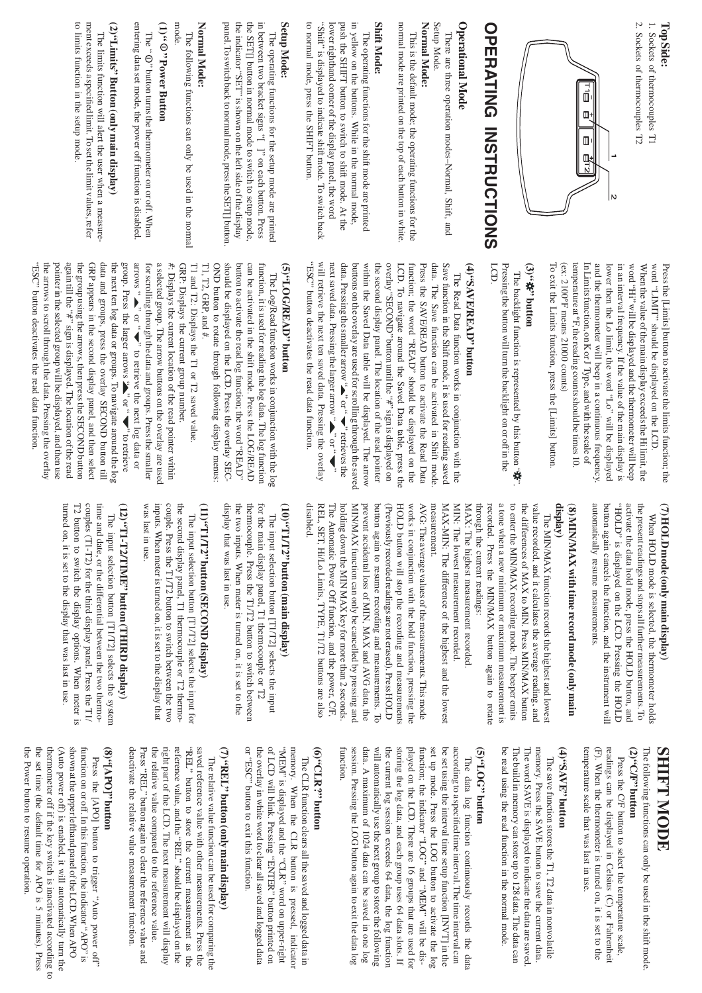### 1. Sockets of thermocouples T1 TopSide:

2. Sockets of thermocouples T2



# **OPERATING INSTRUCTIONS**

### **Operational Mode**

There are three operation modes-Normal, Shift, and

#### Normal Mode: Setup Mode.

This is the default mode; the operating functions for the normal mode are printed on the top of each button in white.

#### **Shift Mode:**

The operating functions for the shift mode are printed<br>in yellow on the buttons. While in the normal mode, to normal mode, press the SHIFT button. lower righthand corner of the display panel, the word push the SHIFT button to switch to shift mode. At the "Shift" is displayed to indicate shift mode. To switch back

### Setup Mode:

the indicator "SET" is shown on the left side of the display the SET[] button in normal mode to switch to setup mode, in between two bracket signs "[]" on each button. Press panel. To switch back to normal mode, press the SET[] button The operating functions for the setup mode are printed

### Normal Mode:

mode. The following functions can only be used in the norma

## $(1)$   $\hspace{-.08cm}$   $\hspace{-.08cm}$   $\hspace{-.08cm}$   $\hspace{-.08cm}$  Dower Button

entering data set mode, the power off function is disabled The " $\mathbb O$ " button turns the thermometer on or off. When

# (2)"Limits" Button (only main display)

to limits function in the setup mode. ment exceeds a specified limit. To set the limit values, refer The limits function will alert the user when a measure-

> temperature at °F, the reading counts should be times 10.  $(ex: 2100°F means 21000 counts)$ In Limits function, on K or J Type, and with the scale of and the thermometer will beep in a continuous frequency lower then the Lo limit, the word "Lo" will be displayed in an interval frequency. If the value of the main display is word "Hi" will be displayed and the thermometer will beep word "TIMIT" should be displayed on the LCD. When the value of the main display exceeds the Hi limit, the Press the [Limits] button to activate the limits function; the

### (3)"特"buton

To exit the Limits function, press the [Limits] button

LCD. The backlight function is represented by this button " $\mathbf{\hat{w}}$ "<br>Pressing the button will turn the backlight on or off in the

## (4) "SAVE/READ" button

will retrieve the next ten saved data. Pressing the overlay next saved data. Pressing the larger arrow " $\blacktriangle$ " or " $\blacktriangledown$ " overlay "SECOND" button until the "#" sign is displayed on Save function in the Shift mode, it is used for reading saved data. Pressing the smaller arrow " $\blacktriangle$ " or " $\blacktriangledown$ " retrieves the buttons on the overlay are used for scrolling through the saved the second display panel. The location of the read pointer LCD. To navigate around the Saved Data table, press the function; the word "READ" should be displayed on the "ESC" button deactivates the read data function. within the Saved Data table will be displayed. The arrow Press the SAVE/READ button to activate the Read Data data. The Save function can be activated in Shift mode The Read Data function works in conjunction with the

## uothpd:dVBH/DOT,,(S)

should be displayed on the LCD. Press the overlay SEC. button to activate the read log function; the word "READ" can be activated in the shift mode. Press the LOG/READ OND button to rotate through following display menus: function, it is used for reading the log data. The log function  $T1$ ,  $T2$ , GRP, and  $#$ . The Log/Read function works in conjunction with the log

a selected group. The arrow buttons on the overlay are used T1 and T2: Displays the T1 or T2 saved value GRP appears in the second display panel, and then select data and groups, press the overlay SECOND button till the group using the arrows, then press the SECOND button group. Press the larger arrows " $\sum$ " or " $\blacktriangledown$ " to retrieve arrows " $\blacktriangleright$ " or " $\blacktriangleright$ " to retrieve the next log data or for scrolling through the data and groups. Press the smaller GRP: Displays the current group number. "ESC" button deactivates the read data function. the arrows to scroll through the data. Pressing the overlay pointer in the selected group will be displayed, and then use again till the "#" sign is displayed. The location of the read the next ten log data or groups. To navigate around the log  $#$ : Displays the current location of the read pointer within

## (7) HOLD mode (only main display)

automatically resume measurements. button again cancels the function, and the instrument will "HOLD" is displayed on the LCD. Pressing the HOLD activate the data hold mode, press the HOLD button, and the present readings and stops all further measurements. To When HOLD mode is selected, the thermometer holds

## display) (8) MIN/MAX with time record mode (only main

a tone when a new minimum or maximum measurement is to enter the MIN/MAX recording mode. The beeper emits recorded. Press the MIN/MAX button again to rotate the differences of MAX to MIN. Press MIN/MAX button through the current readings: value recorded, and it calculates the average reading, and The MIN/MAX function records the highest and lowest

MAX: The highest measurement recorded

MIN: The lowest measurement recorded. MAX-MIN: The difference of the highest and the lowes measurement

(Previously recorded readings are not erased). Press HOLD HOLD button will stop the recording and measurements works in conjunction with the hold function, pressing the disabled. REL, SET, Hi/Lo Limits, TYPE, T1/T2 buttons are also The Automatic Power Off function, and the power, C/F, MIN/MAX function can only be cancelled by pressing and prevent accidental loss of MIN, MAX and AVG data, the button again to resume recording and measurements. To holding down the MIN MAX key for more than 2 seconds AVG: The average values of the measurements. This mode

## (10) "TIT2" button (main display)

display that was last in use. for the main display panel, T1 thermocouple or T2 the two inputs. When meter is turned on, it is set to the thermocouple. Press the T1/T2 button to switch between The input selection button [T1/T2] selects the input

## (11)"TIT2" button (SECOND display)

couple. Press the T1/T2 button to switch between the two the second display panel, T1 thermocouple or T2 thermowas last in use. inputs. When meter is turned on, it is set to the display that The input selection button [T1/T2] selects the input for

# (12)"T1-T2/TIME" button (THIRD display)

couples (T1-T2) for the third display panel. Press the T1/ turned on, it is set to the display that was last in use. T2 button to switch the display options. When meter is time and date, or the differential between the two thermo-The input selection button [T1/T2] selects the system

## **SHIFT MODE**

The following functions can only be used in the shift mode

### uonnq, (Jb, (7)

temperature scale that was last in use (F). When the thermometer is turned on, it is set to the readings can be displayed in Celsius (C) or Fahrenheit Press the C/F button to select the temperature scale,

### uonnq, (HAVS, (t)

be read using the read function in the normal mode. The build in memory can store up to 128 data. The data can The word SAVE is displayed to indicate the data are saved memory. Press the SAVE button to save the current data The save function stores the T1, T2 data in nonvolatile

### uonnq (5)OT, (5)

data. A maximum of 1024 data can be saved in one log storing the log data, and each group uses 64 data slots. If played on the LCD. There are 16 groups that are used for set up mode. Press the LOG button to activate the log be set using the interval time setup function [INVT] in the according to a specified time interval. The time interval can function session. Pressing the LOG button again to exit the data log will automatically use the next group to store the following the current log session exceeds 64 data, the log function function; the indicator "LOG" and "MEM" will be dis-The data log function continuously records the dat

### uonnq (d NTO, (9)

or "ESC" button to exit this function of LCD will blink. Pressing "ENTER" button printed on the overlay in white word to clear all saved and logged data "MEM" is displayed and the "CLR" word on upper-right memory. When the CLR button is pressed, indicato The CLR function clears all the saved and logged data in

## (7) "REL" button (only main display)

the relative value compared to the reference value. right part of the LCD. The next measurement will display reference value, and the "REL" should be displayed on the deactivate the relative value measurement function. Press "REL" button again to clear the reference value and "REL" button to store the current measurement as the saved reference value with other measurements. Press the The relative value function can be used for comparing the

### $\text{map}_{\text{def}}[\text{OdV}], (8)$

the Power button to resume operation (Auto power off) is enabled, it will automatically turn the shown at the upper lefthand panel of the LCD. When APO function on or off. In this function, the indicator "APO" is the set time (the default time for APO is 5 minutes). Press thermometer off if the key switch is inactivated according to Press the [APO] button to trigger "Auto power off"